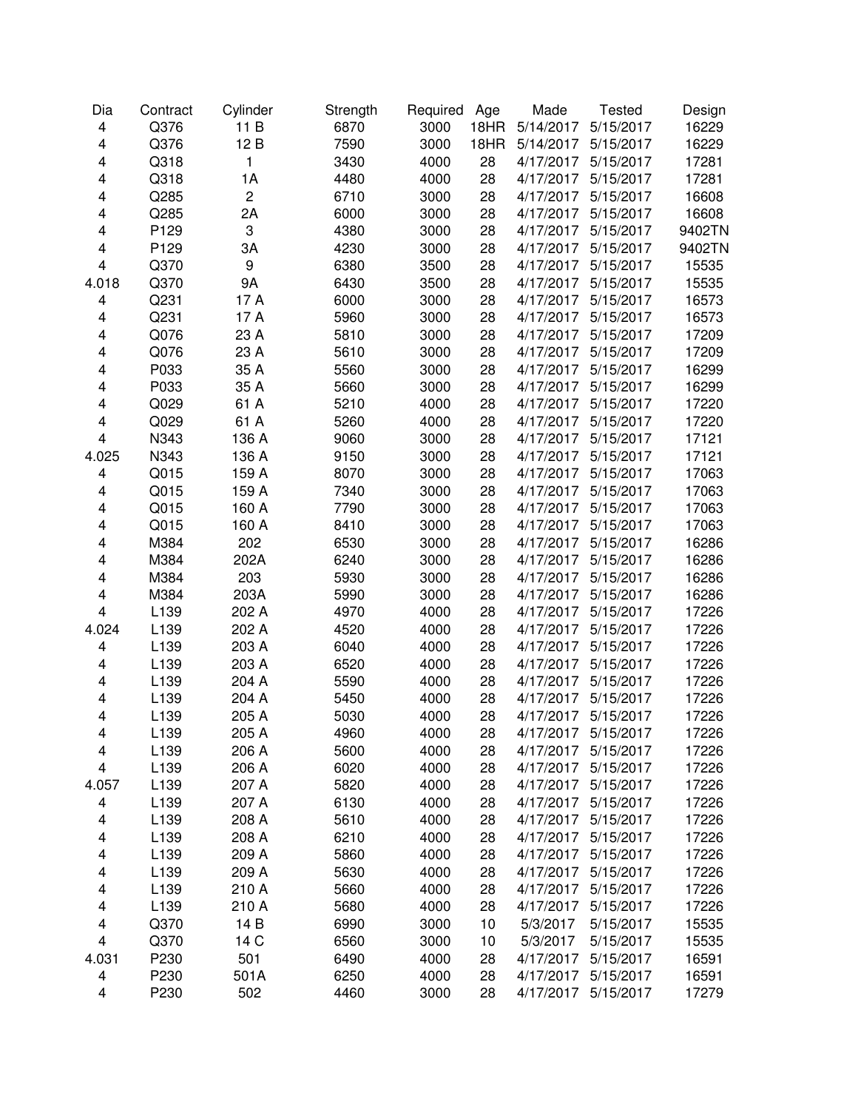| Dia    | Contract | Cylinder       | Strength | Required | Age  | Made      | <b>Tested</b> | Design |
|--------|----------|----------------|----------|----------|------|-----------|---------------|--------|
| 4      | Q376     | 11 B           | 6870     | 3000     | 18HR | 5/14/2017 | 5/15/2017     | 16229  |
| 4      | Q376     | 12B            | 7590     | 3000     | 18HR | 5/14/2017 | 5/15/2017     | 16229  |
| 4      | Q318     | $\mathbf{1}$   | 3430     | 4000     | 28   | 4/17/2017 | 5/15/2017     | 17281  |
| 4      | Q318     | 1A             | 4480     | 4000     | 28   | 4/17/2017 | 5/15/2017     | 17281  |
| 4      | Q285     | $\overline{c}$ | 6710     | 3000     | 28   | 4/17/2017 | 5/15/2017     | 16608  |
| 4      | Q285     | 2A             | 6000     | 3000     | 28   | 4/17/2017 | 5/15/2017     | 16608  |
| 4      | P129     | 3              | 4380     | 3000     | 28   | 4/17/2017 | 5/15/2017     | 9402TN |
| 4      | P129     | 3A             | 4230     | 3000     | 28   | 4/17/2017 | 5/15/2017     | 9402TN |
| 4      | Q370     | 9              | 6380     | 3500     | 28   | 4/17/2017 | 5/15/2017     | 15535  |
| 4.018  | Q370     | 9A             | 6430     | 3500     | 28   | 4/17/2017 | 5/15/2017     | 15535  |
| 4      | Q231     | 17 A           | 6000     | 3000     | 28   | 4/17/2017 | 5/15/2017     | 16573  |
| 4      | Q231     | 17 A           | 5960     | 3000     | 28   | 4/17/2017 | 5/15/2017     | 16573  |
| 4      | Q076     | 23 A           | 5810     | 3000     | 28   | 4/17/2017 | 5/15/2017     | 17209  |
| 4      | Q076     | 23 A           | 5610     | 3000     | 28   | 4/17/2017 | 5/15/2017     | 17209  |
| 4      | P033     | 35 A           | 5560     | 3000     | 28   | 4/17/2017 | 5/15/2017     | 16299  |
| 4      | P033     | 35 A           | 5660     | 3000     | 28   | 4/17/2017 | 5/15/2017     | 16299  |
| 4      | Q029     | 61 A           | 5210     | 4000     | 28   | 4/17/2017 | 5/15/2017     | 17220  |
| 4      | Q029     | 61 A           | 5260     | 4000     | 28   | 4/17/2017 | 5/15/2017     | 17220  |
| 4      | N343     | 136 A          | 9060     | 3000     | 28   | 4/17/2017 | 5/15/2017     | 17121  |
| 4.025  | N343     | 136 A          | 9150     | 3000     | 28   | 4/17/2017 | 5/15/2017     | 17121  |
| 4      | Q015     | 159 A          | 8070     | 3000     | 28   | 4/17/2017 | 5/15/2017     | 17063  |
| 4      | Q015     | 159 A          | 7340     | 3000     | 28   | 4/17/2017 | 5/15/2017     | 17063  |
| 4      | Q015     | 160 A          | 7790     | 3000     | 28   | 4/17/2017 | 5/15/2017     | 17063  |
| 4      | Q015     | 160 A          | 8410     | 3000     | 28   | 4/17/2017 | 5/15/2017     | 17063  |
| 4      | M384     | 202            | 6530     | 3000     | 28   | 4/17/2017 | 5/15/2017     | 16286  |
| 4      | M384     | 202A           | 6240     | 3000     | 28   | 4/17/2017 | 5/15/2017     | 16286  |
| 4      | M384     | 203            | 5930     | 3000     | 28   | 4/17/2017 | 5/15/2017     | 16286  |
| 4      | M384     | 203A           | 5990     | 3000     | 28   | 4/17/2017 | 5/15/2017     | 16286  |
| 4      | L139     | 202 A          | 4970     | 4000     | 28   | 4/17/2017 | 5/15/2017     | 17226  |
| 4.024  | L139     | 202 A          | 4520     | 4000     | 28   | 4/17/2017 | 5/15/2017     | 17226  |
| 4      | L139     | 203 A          | 6040     | 4000     | 28   | 4/17/2017 | 5/15/2017     | 17226  |
| 4      | L139     | 203 A          | 6520     | 4000     | 28   | 4/17/2017 | 5/15/2017     | 17226  |
| 4      | L139     | 204 A          | 5590     | 4000     | 28   | 4/17/2017 | 5/15/2017     | 17226  |
| 4      | L139     | 204 A          | 5450     | 4000     | 28   | 4/17/2017 | 5/15/2017     | 17226  |
| 4      | L139     | 205 A          | 5030     | 4000     | 28   | 4/17/2017 | 5/15/2017     | 17226  |
|        | L139     | 205 A          | 4960     | 4000     | 28   | 4/17/2017 | 5/15/2017     | 17226  |
| 4      |          |                |          |          |      |           |               |        |
| 4<br>4 | L139     | 206 A          | 5600     | 4000     | 28   | 4/17/2017 | 5/15/2017     | 17226  |
|        | L139     | 206 A          | 6020     | 4000     | 28   | 4/17/2017 | 5/15/2017     | 17226  |
| 4.057  | L139     | 207 A          | 5820     | 4000     | 28   | 4/17/2017 | 5/15/2017     | 17226  |
| 4      | L139     | 207 A          | 6130     | 4000     | 28   | 4/17/2017 | 5/15/2017     | 17226  |
| 4      | L139     | 208 A          | 5610     | 4000     | 28   | 4/17/2017 | 5/15/2017     | 17226  |
| 4      | L139     | 208 A          | 6210     | 4000     | 28   | 4/17/2017 | 5/15/2017     | 17226  |
| 4      | L139     | 209 A          | 5860     | 4000     | 28   | 4/17/2017 | 5/15/2017     | 17226  |
| 4      | L139     | 209 A          | 5630     | 4000     | 28   | 4/17/2017 | 5/15/2017     | 17226  |
| 4      | L139     | 210 A          | 5660     | 4000     | 28   | 4/17/2017 | 5/15/2017     | 17226  |
| 4      | L139     | 210 A          | 5680     | 4000     | 28   | 4/17/2017 | 5/15/2017     | 17226  |
| 4      | Q370     | 14 B           | 6990     | 3000     | 10   | 5/3/2017  | 5/15/2017     | 15535  |
| 4      | Q370     | 14 C           | 6560     | 3000     | 10   | 5/3/2017  | 5/15/2017     | 15535  |
| 4.031  | P230     | 501            | 6490     | 4000     | 28   | 4/17/2017 | 5/15/2017     | 16591  |
| 4      | P230     | 501A           | 6250     | 4000     | 28   | 4/17/2017 | 5/15/2017     | 16591  |
| 4      | P230     | 502            | 4460     | 3000     | 28   | 4/17/2017 | 5/15/2017     | 17279  |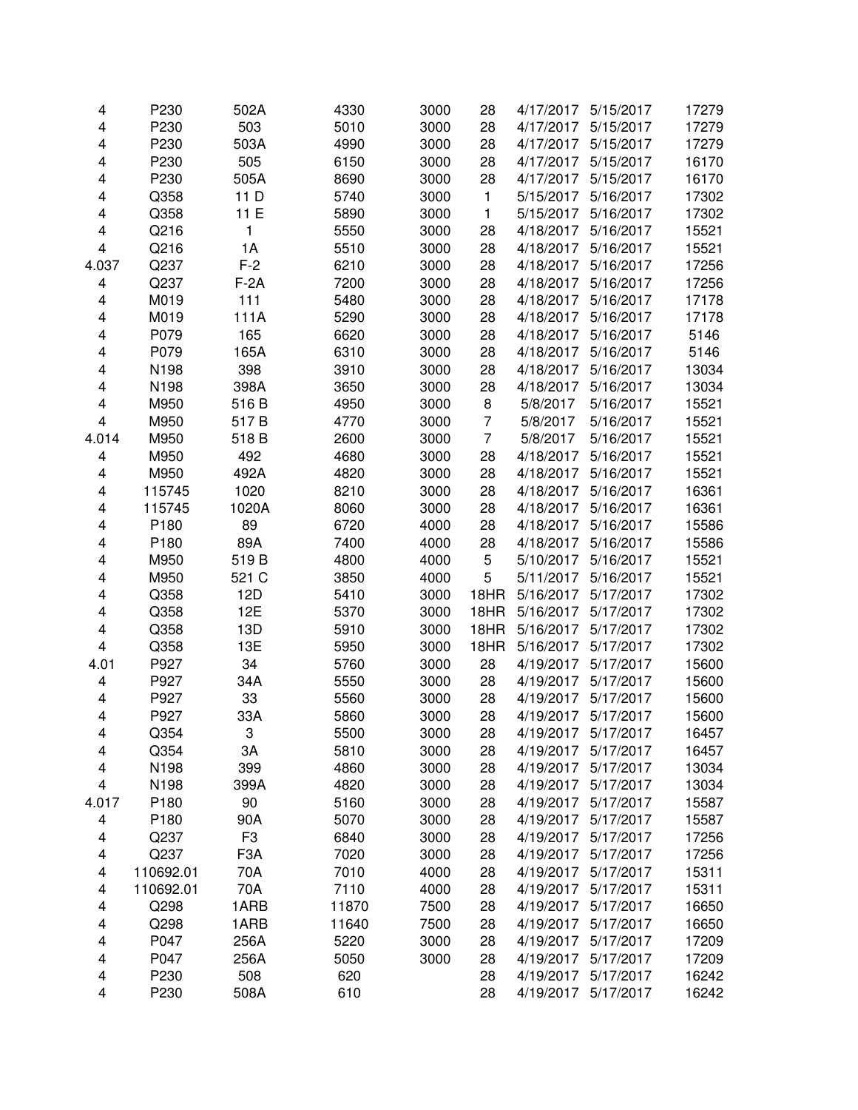| 4                       | P230      | 502A             | 4330  | 3000 | 28             | 4/17/2017 | 5/15/2017 | 17279 |
|-------------------------|-----------|------------------|-------|------|----------------|-----------|-----------|-------|
| $\overline{\mathbf{4}}$ | P230      | 503              | 5010  | 3000 | 28             | 4/17/2017 | 5/15/2017 | 17279 |
| $\overline{\mathbf{4}}$ | P230      | 503A             | 4990  | 3000 | 28             | 4/17/2017 | 5/15/2017 | 17279 |
| $\overline{\mathbf{4}}$ | P230      | 505              | 6150  | 3000 | 28             | 4/17/2017 | 5/15/2017 | 16170 |
| $\overline{\mathbf{4}}$ | P230      | 505A             | 8690  | 3000 | 28             | 4/17/2017 | 5/15/2017 | 16170 |
| 4                       | Q358      | 11 D             | 5740  | 3000 | 1              | 5/15/2017 | 5/16/2017 | 17302 |
| 4                       | Q358      | 11 E             | 5890  | 3000 | 1              | 5/15/2017 | 5/16/2017 | 17302 |
| 4                       | Q216      | 1                | 5550  | 3000 | 28             | 4/18/2017 | 5/16/2017 | 15521 |
| $\overline{\mathbf{4}}$ | Q216      | 1A               | 5510  | 3000 | 28             | 4/18/2017 | 5/16/2017 | 15521 |
| 4.037                   | Q237      | $F-2$            | 6210  | 3000 | 28             | 4/18/2017 | 5/16/2017 | 17256 |
| 4                       | Q237      | $F-2A$           | 7200  | 3000 | 28             | 4/18/2017 | 5/16/2017 | 17256 |
| 4                       | M019      | 111              | 5480  | 3000 | 28             | 4/18/2017 | 5/16/2017 | 17178 |
| 4                       | M019      | 111A             | 5290  | 3000 | 28             | 4/18/2017 | 5/16/2017 | 17178 |
| 4                       | P079      | 165              | 6620  | 3000 | 28             | 4/18/2017 | 5/16/2017 | 5146  |
| 4                       | P079      | 165A             | 6310  | 3000 | 28             | 4/18/2017 | 5/16/2017 | 5146  |
| 4                       | N198      | 398              | 3910  | 3000 | 28             | 4/18/2017 | 5/16/2017 | 13034 |
| $\overline{\mathbf{4}}$ | N198      | 398A             | 3650  | 3000 | 28             | 4/18/2017 | 5/16/2017 | 13034 |
| $\overline{\mathbf{4}}$ | M950      | 516 B            | 4950  | 3000 | 8              | 5/8/2017  | 5/16/2017 | 15521 |
| $\overline{\mathbf{4}}$ | M950      | 517B             | 4770  | 3000 | $\overline{7}$ | 5/8/2017  | 5/16/2017 | 15521 |
| 4.014                   | M950      | 518 B            | 2600  | 3000 | $\overline{7}$ | 5/8/2017  | 5/16/2017 | 15521 |
| $\overline{\mathbf{4}}$ | M950      | 492              | 4680  | 3000 | 28             | 4/18/2017 | 5/16/2017 | 15521 |
| $\overline{\mathbf{4}}$ | M950      | 492A             | 4820  | 3000 | 28             | 4/18/2017 | 5/16/2017 | 15521 |
| 4                       | 115745    | 1020             | 8210  | 3000 | 28             | 4/18/2017 | 5/16/2017 | 16361 |
| 4                       | 115745    | 1020A            | 8060  | 3000 | 28             | 4/18/2017 | 5/16/2017 | 16361 |
| 4                       | P180      | 89               | 6720  | 4000 | 28             | 4/18/2017 | 5/16/2017 | 15586 |
| 4                       | P180      | 89A              | 7400  | 4000 | 28             | 4/18/2017 | 5/16/2017 | 15586 |
| 4                       | M950      | 519B             | 4800  | 4000 | 5              | 5/10/2017 | 5/16/2017 | 15521 |
| 4                       | M950      | 521 C            | 3850  | 4000 | 5              | 5/11/2017 | 5/16/2017 | 15521 |
| 4                       | Q358      | 12D              | 5410  | 3000 | 18HR           | 5/16/2017 | 5/17/2017 | 17302 |
| 4                       | Q358      | 12E              | 5370  | 3000 | 18HR           | 5/16/2017 | 5/17/2017 | 17302 |
| $\overline{\mathbf{4}}$ | Q358      | 13D              | 5910  | 3000 | 18HR           | 5/16/2017 | 5/17/2017 | 17302 |
| $\overline{\mathbf{4}}$ | Q358      | 13E              | 5950  | 3000 | 18HR           | 5/16/2017 | 5/17/2017 | 17302 |
| 4.01                    | P927      | 34               | 5760  | 3000 | 28             | 4/19/2017 | 5/17/2017 | 15600 |
| $\overline{\mathbf{4}}$ | P927      | 34A              | 5550  | 3000 | 28             | 4/19/2017 | 5/17/2017 | 15600 |
| 4                       | P927      | 33               | 5560  | 3000 | 28             | 4/19/2017 | 5/17/2017 | 15600 |
| $\overline{\mathbf{4}}$ | P927      | 33A              | 5860  | 3000 | 28             | 4/19/2017 | 5/17/2017 | 15600 |
| 4                       | Q354      | 3                | 5500  | 3000 | 28             | 4/19/2017 | 5/17/2017 | 16457 |
| $\overline{\mathbf{4}}$ | Q354      | ЗA               | 5810  | 3000 | 28             | 4/19/2017 | 5/17/2017 | 16457 |
| $\overline{\mathbf{4}}$ | N198      | 399              | 4860  | 3000 | 28             | 4/19/2017 | 5/17/2017 | 13034 |
| $\overline{\mathbf{4}}$ | N198      | 399A             | 4820  | 3000 | 28             | 4/19/2017 | 5/17/2017 | 13034 |
| 4.017                   | P180      | 90               | 5160  | 3000 | 28             | 4/19/2017 | 5/17/2017 | 15587 |
| $\overline{\mathbf{4}}$ | P180      | 90A              | 5070  | 3000 | 28             | 4/19/2017 | 5/17/2017 | 15587 |
| 4                       | Q237      | F3               | 6840  | 3000 | 28             | 4/19/2017 | 5/17/2017 | 17256 |
| 4                       | Q237      | F <sub>3</sub> A | 7020  | 3000 | 28             | 4/19/2017 | 5/17/2017 | 17256 |
| 4                       | 110692.01 | 70A              | 7010  | 4000 | 28             | 4/19/2017 | 5/17/2017 | 15311 |
| 4                       | 110692.01 | 70A              | 7110  | 4000 | 28             | 4/19/2017 | 5/17/2017 | 15311 |
| 4                       | Q298      | 1ARB             | 11870 | 7500 | 28             | 4/19/2017 | 5/17/2017 | 16650 |
| 4                       | Q298      | 1ARB             | 11640 | 7500 | 28             | 4/19/2017 | 5/17/2017 | 16650 |
| 4                       | P047      | 256A             | 5220  | 3000 | 28             | 4/19/2017 | 5/17/2017 | 17209 |
| $\overline{\mathbf{4}}$ | P047      | 256A             | 5050  | 3000 | 28             | 4/19/2017 | 5/17/2017 | 17209 |
| $\overline{\mathbf{4}}$ | P230      | 508              | 620   |      | 28             | 4/19/2017 | 5/17/2017 | 16242 |
| 4                       | P230      | 508A             | 610   |      | 28             | 4/19/2017 | 5/17/2017 | 16242 |
|                         |           |                  |       |      |                |           |           |       |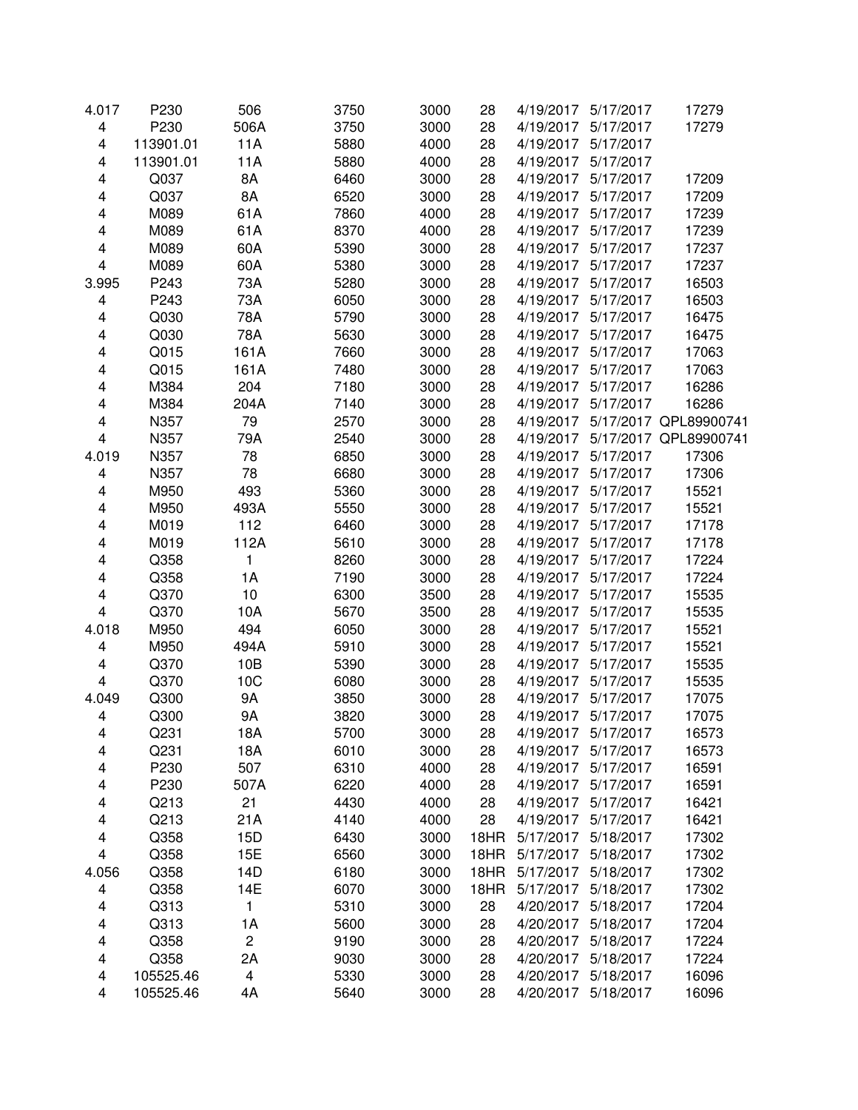| 4.017                   | P230      | 506  | 3750 | 3000 | 28   | 4/19/2017 | 5/17/2017 | 17279                 |
|-------------------------|-----------|------|------|------|------|-----------|-----------|-----------------------|
| 4                       | P230      | 506A | 3750 | 3000 | 28   | 4/19/2017 | 5/17/2017 | 17279                 |
| 4                       | 113901.01 | 11A  | 5880 | 4000 | 28   | 4/19/2017 | 5/17/2017 |                       |
| 4                       | 113901.01 | 11A  | 5880 | 4000 | 28   | 4/19/2017 | 5/17/2017 |                       |
| 4                       | Q037      | 8A   | 6460 | 3000 | 28   | 4/19/2017 | 5/17/2017 | 17209                 |
| 4                       | Q037      | 8A   | 6520 | 3000 | 28   | 4/19/2017 | 5/17/2017 | 17209                 |
| 4                       | M089      | 61A  | 7860 | 4000 | 28   | 4/19/2017 | 5/17/2017 | 17239                 |
| 4                       | M089      | 61A  | 8370 | 4000 | 28   | 4/19/2017 | 5/17/2017 | 17239                 |
| 4                       | M089      | 60A  | 5390 | 3000 | 28   | 4/19/2017 | 5/17/2017 | 17237                 |
| 4                       | M089      | 60A  | 5380 | 3000 | 28   | 4/19/2017 | 5/17/2017 | 17237                 |
| 3.995                   | P243      | 73A  | 5280 | 3000 | 28   | 4/19/2017 | 5/17/2017 | 16503                 |
| 4                       | P243      | 73A  | 6050 | 3000 | 28   | 4/19/2017 | 5/17/2017 | 16503                 |
| 4                       | Q030      | 78A  | 5790 | 3000 | 28   | 4/19/2017 | 5/17/2017 | 16475                 |
| 4                       | Q030      | 78A  | 5630 | 3000 | 28   | 4/19/2017 | 5/17/2017 | 16475                 |
| 4                       | Q015      | 161A | 7660 | 3000 | 28   | 4/19/2017 | 5/17/2017 | 17063                 |
|                         |           |      |      |      | 28   |           |           |                       |
| 4                       | Q015      | 161A | 7480 | 3000 |      | 4/19/2017 | 5/17/2017 | 17063                 |
| 4                       | M384      | 204  | 7180 | 3000 | 28   | 4/19/2017 | 5/17/2017 | 16286                 |
| 4                       | M384      | 204A | 7140 | 3000 | 28   | 4/19/2017 | 5/17/2017 | 16286                 |
| 4                       | N357      | 79   | 2570 | 3000 | 28   | 4/19/2017 |           | 5/17/2017 QPL89900741 |
| $\overline{\mathbf{4}}$ | N357      | 79A  | 2540 | 3000 | 28   | 4/19/2017 |           | 5/17/2017 QPL89900741 |
| 4.019                   | N357      | 78   | 6850 | 3000 | 28   | 4/19/2017 | 5/17/2017 | 17306                 |
| 4                       | N357      | 78   | 6680 | 3000 | 28   | 4/19/2017 | 5/17/2017 | 17306                 |
| 4                       | M950      | 493  | 5360 | 3000 | 28   | 4/19/2017 | 5/17/2017 | 15521                 |
| 4                       | M950      | 493A | 5550 | 3000 | 28   | 4/19/2017 | 5/17/2017 | 15521                 |
| 4                       | M019      | 112  | 6460 | 3000 | 28   | 4/19/2017 | 5/17/2017 | 17178                 |
| 4                       | M019      | 112A | 5610 | 3000 | 28   | 4/19/2017 | 5/17/2017 | 17178                 |
| 4                       | Q358      | 1    | 8260 | 3000 | 28   | 4/19/2017 | 5/17/2017 | 17224                 |
| 4                       | Q358      | 1A   | 7190 | 3000 | 28   | 4/19/2017 | 5/17/2017 | 17224                 |
| 4                       | Q370      | 10   | 6300 | 3500 | 28   | 4/19/2017 | 5/17/2017 | 15535                 |
| 4                       | Q370      | 10A  | 5670 | 3500 | 28   | 4/19/2017 | 5/17/2017 | 15535                 |
| 4.018                   | M950      | 494  | 6050 | 3000 | 28   | 4/19/2017 | 5/17/2017 | 15521                 |
| 4                       | M950      | 494A | 5910 | 3000 | 28   | 4/19/2017 | 5/17/2017 | 15521                 |
| 4                       | Q370      | 10B  | 5390 | 3000 | 28   | 4/19/2017 | 5/17/2017 | 15535                 |
| $\overline{\mathbf{4}}$ | Q370      | 10C  | 6080 | 3000 | 28   | 4/19/2017 | 5/17/2017 | 15535                 |
| 4.049                   | Q300      | 9A   | 3850 | 3000 | 28   | 4/19/2017 | 5/17/2017 | 17075                 |
| 4                       | Q300      | 9A   | 3820 | 3000 | 28   | 4/19/2017 | 5/17/2017 | 17075                 |
| 4                       | Q231      | 18A  | 5700 | 3000 | 28   | 4/19/2017 | 5/17/2017 | 16573                 |
| 4                       | Q231      | 18A  | 6010 | 3000 | 28   | 4/19/2017 | 5/17/2017 | 16573                 |
| 4                       | P230      | 507  | 6310 | 4000 | 28   | 4/19/2017 | 5/17/2017 | 16591                 |
| 4                       | P230      | 507A | 6220 | 4000 | 28   | 4/19/2017 | 5/17/2017 | 16591                 |
| 4                       | Q213      | 21   | 4430 | 4000 | 28   | 4/19/2017 | 5/17/2017 | 16421                 |
| 4                       | Q213      | 21A  | 4140 | 4000 | 28   | 4/19/2017 | 5/17/2017 | 16421                 |
| 4                       | Q358      | 15D  | 6430 | 3000 | 18HR | 5/17/2017 | 5/18/2017 | 17302                 |
| 4                       | Q358      | 15E  | 6560 | 3000 | 18HR | 5/17/2017 | 5/18/2017 | 17302                 |
| 4.056                   | Q358      | 14D  | 6180 | 3000 | 18HR | 5/17/2017 | 5/18/2017 | 17302                 |
| 4                       | Q358      | 14E  | 6070 | 3000 | 18HR | 5/17/2017 | 5/18/2017 | 17302                 |
| 4                       | Q313      | 1    | 5310 | 3000 | 28   | 4/20/2017 | 5/18/2017 | 17204                 |
| 4                       | Q313      | 1A   | 5600 | 3000 | 28   | 4/20/2017 | 5/18/2017 | 17204                 |
| 4                       | Q358      | 2    | 9190 | 3000 | 28   | 4/20/2017 | 5/18/2017 | 17224                 |
| 4                       | Q358      | 2A   | 9030 | 3000 | 28   | 4/20/2017 | 5/18/2017 | 17224                 |
| 4                       | 105525.46 | 4    | 5330 | 3000 | 28   | 4/20/2017 | 5/18/2017 | 16096                 |
| 4                       | 105525.46 | 4A   | 5640 | 3000 | 28   | 4/20/2017 | 5/18/2017 | 16096                 |
|                         |           |      |      |      |      |           |           |                       |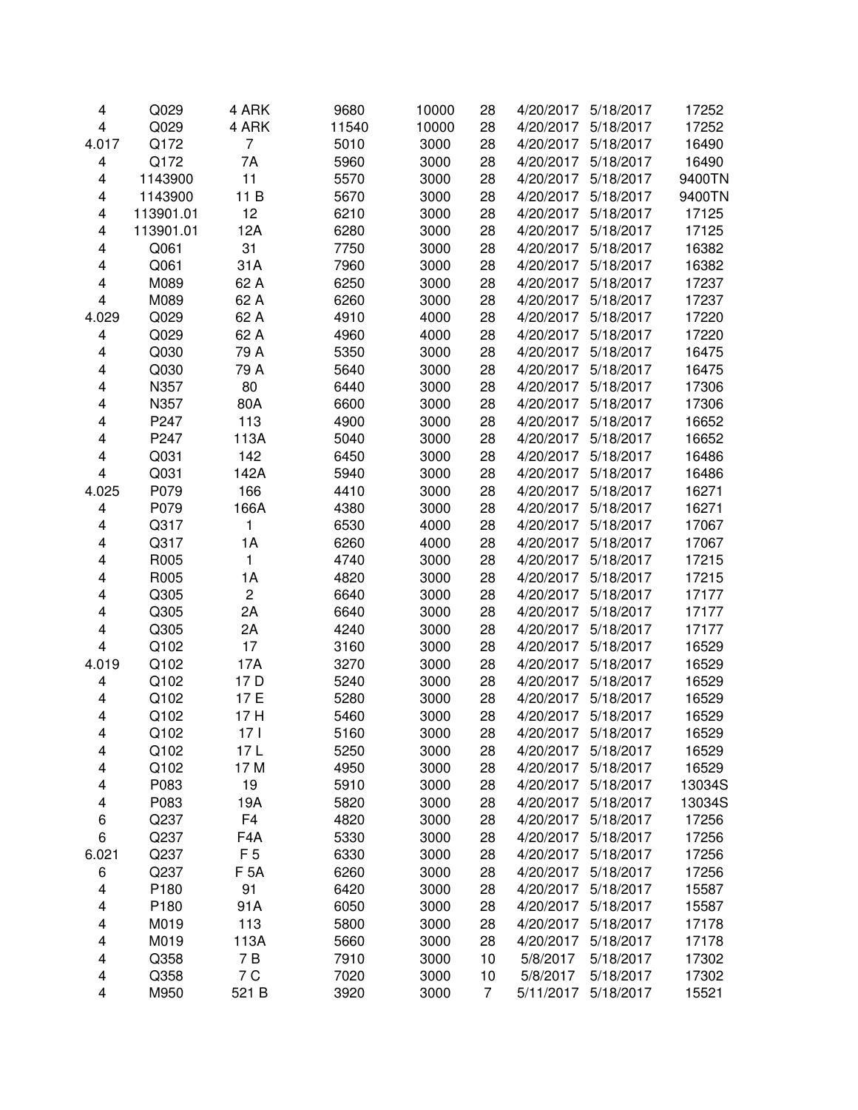| 4                       | Q029      | 4 ARK            | 9680  | 10000 | 28             | 4/20/2017 | 5/18/2017 | 17252  |
|-------------------------|-----------|------------------|-------|-------|----------------|-----------|-----------|--------|
| $\overline{\mathbf{4}}$ | Q029      | 4 ARK            | 11540 | 10000 | 28             | 4/20/2017 | 5/18/2017 | 17252  |
| 4.017                   | Q172      | $\overline{7}$   | 5010  | 3000  | 28             | 4/20/2017 | 5/18/2017 | 16490  |
| 4                       | Q172      | 7A               | 5960  | 3000  | 28             | 4/20/2017 | 5/18/2017 | 16490  |
| 4                       | 1143900   | 11               | 5570  | 3000  | 28             | 4/20/2017 | 5/18/2017 | 9400TN |
| 4                       | 1143900   | 11 B             | 5670  | 3000  | 28             | 4/20/2017 | 5/18/2017 | 9400TN |
| 4                       | 113901.01 | 12               | 6210  | 3000  | 28             | 4/20/2017 | 5/18/2017 | 17125  |
| 4                       | 113901.01 | 12A              | 6280  | 3000  | 28             | 4/20/2017 | 5/18/2017 | 17125  |
| 4                       | Q061      | 31               | 7750  | 3000  | 28             | 4/20/2017 | 5/18/2017 | 16382  |
| 4                       | Q061      | 31A              | 7960  | 3000  | 28             | 4/20/2017 | 5/18/2017 | 16382  |
| 4                       | M089      | 62 A             | 6250  | 3000  | 28             | 4/20/2017 | 5/18/2017 | 17237  |
| $\overline{\mathbf{4}}$ | M089      | 62 A             | 6260  | 3000  | 28             | 4/20/2017 | 5/18/2017 | 17237  |
| 4.029                   | Q029      | 62 A             | 4910  | 4000  | 28             | 4/20/2017 | 5/18/2017 | 17220  |
| 4                       | Q029      | 62 A             | 4960  | 4000  | 28             | 4/20/2017 | 5/18/2017 | 17220  |
| 4                       | Q030      | 79 A             | 5350  | 3000  | 28             | 4/20/2017 | 5/18/2017 | 16475  |
| 4                       | Q030      | 79 A             | 5640  | 3000  | 28             | 4/20/2017 | 5/18/2017 | 16475  |
| 4                       | N357      | 80               | 6440  | 3000  | 28             | 4/20/2017 | 5/18/2017 | 17306  |
| 4                       | N357      | 80A              | 6600  | 3000  | 28             | 4/20/2017 | 5/18/2017 | 17306  |
| 4                       | P247      | 113              | 4900  | 3000  | 28             | 4/20/2017 | 5/18/2017 | 16652  |
| 4                       | P247      |                  | 5040  | 3000  |                |           | 5/18/2017 |        |
|                         |           | 113A             |       |       | 28             | 4/20/2017 |           | 16652  |
| 4                       | Q031      | 142              | 6450  | 3000  | 28             | 4/20/2017 | 5/18/2017 | 16486  |
| $\overline{\mathbf{4}}$ | Q031      | 142A             | 5940  | 3000  | 28             | 4/20/2017 | 5/18/2017 | 16486  |
| 4.025                   | P079      | 166              | 4410  | 3000  | 28             | 4/20/2017 | 5/18/2017 | 16271  |
| 4                       | P079      | 166A             | 4380  | 3000  | 28             | 4/20/2017 | 5/18/2017 | 16271  |
| 4                       | Q317      | 1                | 6530  | 4000  | 28             | 4/20/2017 | 5/18/2017 | 17067  |
| 4                       | Q317      | 1A               | 6260  | 4000  | 28             | 4/20/2017 | 5/18/2017 | 17067  |
| 4                       | R005      | $\mathbf{1}$     | 4740  | 3000  | 28             | 4/20/2017 | 5/18/2017 | 17215  |
| 4                       | R005      | 1A               | 4820  | 3000  | 28             | 4/20/2017 | 5/18/2017 | 17215  |
| 4                       | Q305      | $\overline{c}$   | 6640  | 3000  | 28             | 4/20/2017 | 5/18/2017 | 17177  |
| 4                       | Q305      | 2A               | 6640  | 3000  | 28             | 4/20/2017 | 5/18/2017 | 17177  |
| 4                       | Q305      | 2A               | 4240  | 3000  | 28             | 4/20/2017 | 5/18/2017 | 17177  |
| $\overline{\mathbf{4}}$ | Q102      | 17               | 3160  | 3000  | 28             | 4/20/2017 | 5/18/2017 | 16529  |
| 4.019                   | Q102      | 17A              | 3270  | 3000  | 28             | 4/20/2017 | 5/18/2017 | 16529  |
| 4                       | Q102      | 17 D             | 5240  | 3000  | 28             | 4/20/2017 | 5/18/2017 | 16529  |
| $\overline{\mathbf{4}}$ | Q102      | 17 E             | 5280  | 3000  | 28             | 4/20/2017 | 5/18/2017 | 16529  |
| 4                       | Q102      | 17 H             | 5460  | 3000  | 28             | 4/20/2017 | 5/18/2017 | 16529  |
| 4                       | Q102      | 17 <sub>l</sub>  | 5160  | 3000  | 28             | 4/20/2017 | 5/18/2017 | 16529  |
| 4                       | Q102      | 17 L             | 5250  | 3000  | 28             | 4/20/2017 | 5/18/2017 | 16529  |
| 4                       | Q102      | 17 M             | 4950  | 3000  | 28             | 4/20/2017 | 5/18/2017 | 16529  |
| 4                       | P083      | 19               | 5910  | 3000  | 28             | 4/20/2017 | 5/18/2017 | 13034S |
| 4                       | P083      | 19A              | 5820  | 3000  | 28             | 4/20/2017 | 5/18/2017 | 13034S |
| 6                       | Q237      | F <sub>4</sub>   | 4820  | 3000  | 28             | 4/20/2017 | 5/18/2017 | 17256  |
| 6                       | Q237      | F <sub>4</sub> A | 5330  | 3000  | 28             | 4/20/2017 | 5/18/2017 | 17256  |
| 6.021                   | Q237      | F <sub>5</sub>   | 6330  | 3000  | 28             | 4/20/2017 | 5/18/2017 | 17256  |
| 6                       | Q237      | <b>F 5A</b>      | 6260  | 3000  | 28             | 4/20/2017 | 5/18/2017 | 17256  |
| 4                       | P180      | 91               | 6420  | 3000  | 28             | 4/20/2017 | 5/18/2017 | 15587  |
| 4                       | P180      | 91A              | 6050  | 3000  | 28             | 4/20/2017 | 5/18/2017 | 15587  |
| 4                       | M019      | 113              | 5800  | 3000  | 28             | 4/20/2017 | 5/18/2017 | 17178  |
| 4                       | M019      | 113A             | 5660  | 3000  | 28             | 4/20/2017 | 5/18/2017 | 17178  |
| 4                       | Q358      | 7B               | 7910  | 3000  | 10             | 5/8/2017  | 5/18/2017 | 17302  |
| 4                       | Q358      | 7 C              | 7020  | 3000  | 10             | 5/8/2017  | 5/18/2017 | 17302  |
| 4                       | M950      | 521 B            | 3920  | 3000  | $\overline{7}$ | 5/11/2017 | 5/18/2017 | 15521  |
|                         |           |                  |       |       |                |           |           |        |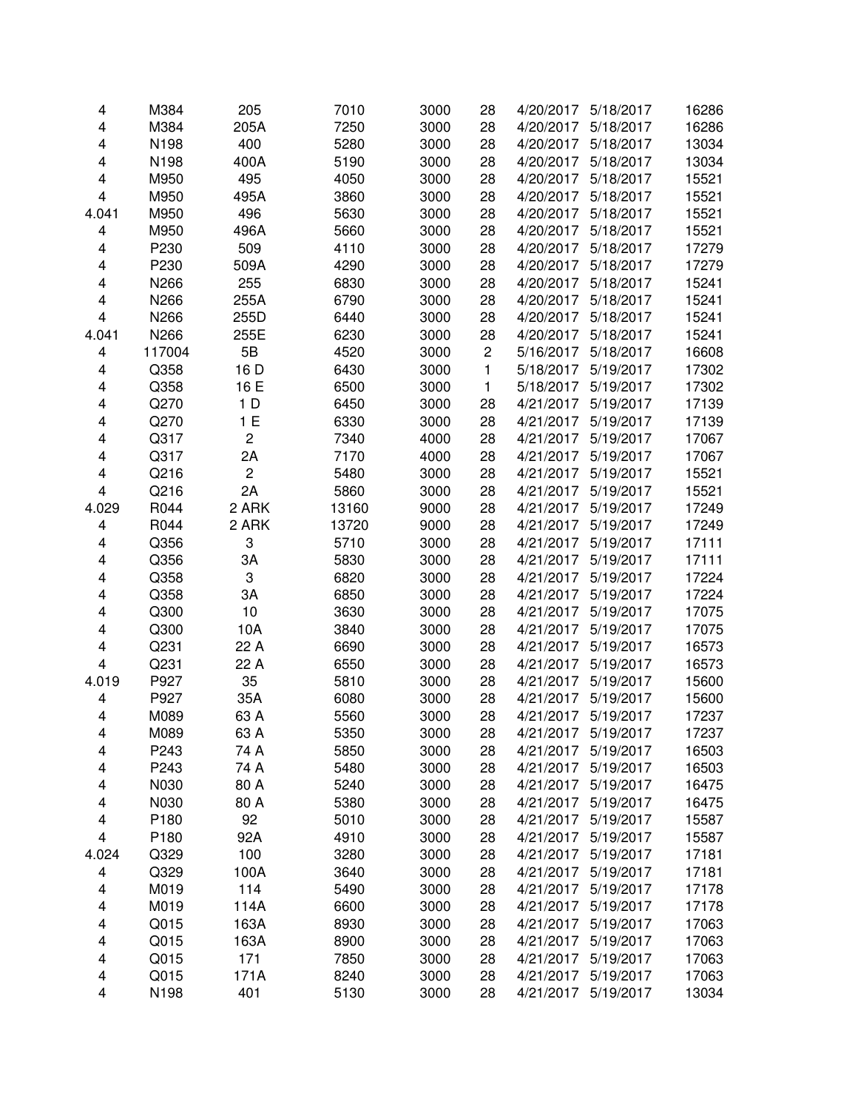| 4                       | M384   | 205            | 7010  | 3000 | 28             | 4/20/2017 | 5/18/2017 | 16286 |
|-------------------------|--------|----------------|-------|------|----------------|-----------|-----------|-------|
| $\overline{\mathbf{4}}$ | M384   | 205A           | 7250  | 3000 | 28             | 4/20/2017 | 5/18/2017 | 16286 |
| 4                       | N198   | 400            | 5280  | 3000 | 28             | 4/20/2017 | 5/18/2017 | 13034 |
| 4                       | N198   | 400A           | 5190  | 3000 | 28             | 4/20/2017 | 5/18/2017 | 13034 |
| 4                       | M950   | 495            | 4050  | 3000 | 28             | 4/20/2017 | 5/18/2017 | 15521 |
| 4                       | M950   | 495A           | 3860  | 3000 | 28             | 4/20/2017 | 5/18/2017 | 15521 |
| 4.041                   | M950   | 496            | 5630  | 3000 | 28             | 4/20/2017 | 5/18/2017 | 15521 |
| 4                       | M950   | 496A           | 5660  | 3000 | 28             | 4/20/2017 | 5/18/2017 | 15521 |
| 4                       | P230   | 509            | 4110  | 3000 | 28             | 4/20/2017 | 5/18/2017 | 17279 |
| 4                       | P230   | 509A           | 4290  | 3000 | 28             | 4/20/2017 | 5/18/2017 | 17279 |
| 4                       | N266   | 255            | 6830  | 3000 | 28             | 4/20/2017 | 5/18/2017 | 15241 |
| 4                       | N266   | 255A           | 6790  | 3000 | 28             | 4/20/2017 | 5/18/2017 | 15241 |
| 4                       | N266   | 255D           | 6440  | 3000 | 28             | 4/20/2017 | 5/18/2017 | 15241 |
| 4.041                   | N266   | 255E           | 6230  | 3000 | 28             | 4/20/2017 | 5/18/2017 | 15241 |
| 4                       | 117004 | 5B             | 4520  | 3000 | $\overline{c}$ | 5/16/2017 | 5/18/2017 | 16608 |
| 4                       | Q358   | 16 D           | 6430  | 3000 | $\mathbf{1}$   | 5/18/2017 | 5/19/2017 | 17302 |
| 4                       | Q358   | 16 E           | 6500  | 3000 | $\mathbf{1}$   | 5/18/2017 | 5/19/2017 | 17302 |
| $\overline{\mathbf{4}}$ | Q270   | 1 <sub>D</sub> | 6450  | 3000 | 28             | 4/21/2017 | 5/19/2017 | 17139 |
| 4                       | Q270   | 1E             | 6330  | 3000 | 28             | 4/21/2017 | 5/19/2017 | 17139 |
| 4                       | Q317   | 2              | 7340  | 4000 | 28             | 4/21/2017 | 5/19/2017 | 17067 |
| 4                       | Q317   | 2A             | 7170  | 4000 | 28             | 4/21/2017 | 5/19/2017 | 17067 |
| 4                       | Q216   | $\overline{c}$ | 5480  | 3000 | 28             | 4/21/2017 | 5/19/2017 | 15521 |
| 4                       | Q216   | 2A             | 5860  | 3000 | 28             | 4/21/2017 | 5/19/2017 | 15521 |
| 4.029                   | R044   | 2 ARK          | 13160 | 9000 | 28             | 4/21/2017 | 5/19/2017 | 17249 |
| 4                       | R044   | 2 ARK          | 13720 | 9000 | 28             | 4/21/2017 | 5/19/2017 | 17249 |
| 4                       | Q356   | 3              | 5710  | 3000 | 28             | 4/21/2017 | 5/19/2017 | 17111 |
| 4                       | Q356   | 3A             | 5830  | 3000 | 28             | 4/21/2017 | 5/19/2017 | 17111 |
| 4                       | Q358   | 3              | 6820  | 3000 | 28             | 4/21/2017 | 5/19/2017 | 17224 |
| 4                       | Q358   | 3A             | 6850  | 3000 | 28             | 4/21/2017 | 5/19/2017 | 17224 |
| 4                       | Q300   | 10             | 3630  | 3000 | 28             | 4/21/2017 | 5/19/2017 | 17075 |
| 4                       | Q300   | 10A            | 3840  | 3000 | 28             | 4/21/2017 | 5/19/2017 | 17075 |
| 4                       | Q231   | 22 A           | 6690  | 3000 | 28             | 4/21/2017 | 5/19/2017 | 16573 |
| $\overline{\mathbf{4}}$ | Q231   | 22 A           | 6550  | 3000 | 28             | 4/21/2017 | 5/19/2017 | 16573 |
| 4.019                   | P927   | 35             | 5810  | 3000 | 28             | 4/21/2017 | 5/19/2017 | 15600 |
| 4                       | P927   | 35A            | 6080  | 3000 | 28             | 4/21/2017 | 5/19/2017 | 15600 |
| 4                       | M089   | 63 A           | 5560  | 3000 | 28             | 4/21/2017 | 5/19/2017 | 17237 |
| 4                       | M089   | 63 A           | 5350  | 3000 | 28             | 4/21/2017 | 5/19/2017 | 17237 |
| 4                       | P243   | 74 A           | 5850  | 3000 | 28             | 4/21/2017 | 5/19/2017 | 16503 |
| 4                       | P243   | 74 A           | 5480  | 3000 | 28             | 4/21/2017 | 5/19/2017 | 16503 |
| 4                       | N030   | 80 A           | 5240  | 3000 | 28             | 4/21/2017 | 5/19/2017 | 16475 |
| 4                       | N030   | 80 A           | 5380  | 3000 | 28             | 4/21/2017 | 5/19/2017 | 16475 |
| 4                       | P180   | 92             | 5010  | 3000 | 28             | 4/21/2017 | 5/19/2017 | 15587 |
| $\overline{\mathbf{4}}$ | P180   | 92A            | 4910  | 3000 | 28             | 4/21/2017 | 5/19/2017 | 15587 |
| 4.024                   | Q329   | 100            | 3280  | 3000 | 28             | 4/21/2017 | 5/19/2017 | 17181 |
| 4                       | Q329   | 100A           | 3640  | 3000 | 28             | 4/21/2017 | 5/19/2017 | 17181 |
| 4                       | M019   | 114            | 5490  | 3000 | 28             | 4/21/2017 | 5/19/2017 | 17178 |
| 4                       | M019   | 114A           | 6600  | 3000 | 28             | 4/21/2017 | 5/19/2017 | 17178 |
| 4                       | Q015   | 163A           | 8930  | 3000 | 28             | 4/21/2017 | 5/19/2017 | 17063 |
| 4                       | Q015   | 163A           | 8900  | 3000 | 28             | 4/21/2017 | 5/19/2017 | 17063 |
| $\overline{\mathbf{4}}$ | Q015   | 171            | 7850  | 3000 | 28             | 4/21/2017 | 5/19/2017 | 17063 |
| $\overline{\mathbf{4}}$ | Q015   | 171A           | 8240  | 3000 | 28             | 4/21/2017 | 5/19/2017 | 17063 |
| 4                       | N198   | 401            | 5130  | 3000 | 28             | 4/21/2017 | 5/19/2017 | 13034 |
|                         |        |                |       |      |                |           |           |       |